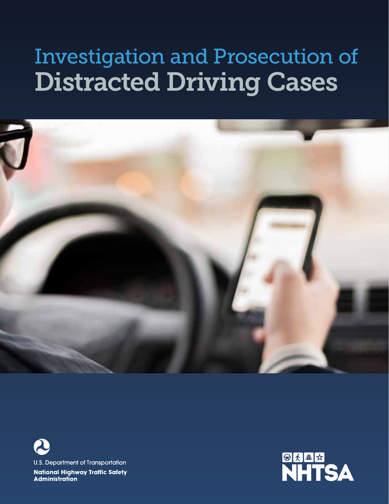# Investigation and Prosecution of Distracted Driving Cases





**National Highway Traffic Safety Administration** 

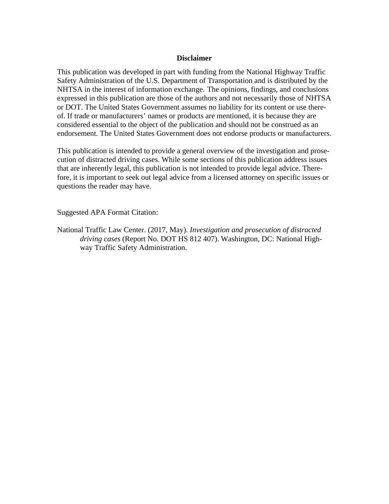#### **Disclaimer**

This publication was developed in part with funding from the National Highway Traffic Safety Administration of the U.S. Department of Transportation and is distributed by the NHTSA in the interest of information exchange. The opinions, findings, and conclusions expressed in this publication are those of the authors and not necessarily those of NHTSA or DOT. The United States Government assumes no liability for its content or use thereof. If trade or manufacturers' names or products are mentioned, it is because they are considered essential to the object of the publication and should not be construed as an endorsement. The United States Government does not endorse products or manufacturers.

This publication is intended to provide a general overview of the investigation and prosecution of distracted driving cases. While some sections of this publication address issues that are inherently legal, this publication is not intended to provide legal advice. Therefore, it is important to seek out legal advice from a licensed attorney on specific issues or questions the reader may have.

Suggested APA Format Citation:

National Traffic Law Center. (2017, May). *Investigation and prosecution of distracted driving cases* (Report No. DOT HS 812 407). Washington, DC: National Highway Traffic Safety Administration.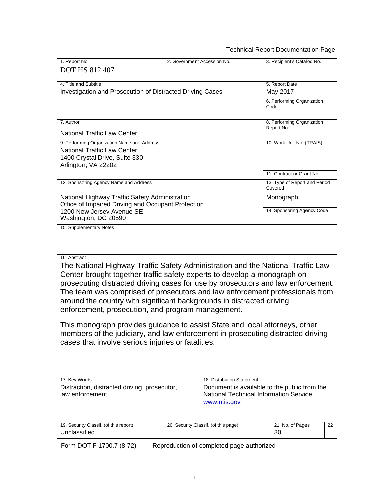## Technical Report Documentation Page

| 1. Report No.<br><b>DOT HS 812 407</b>                                                                                                                                                                                                                                                                                                                                                                                                                                                                                                                                                                                                                                                                | 2. Government Accession No. |                                                                                                                                      | 3. Recipient's Catalog No.               |  |
|-------------------------------------------------------------------------------------------------------------------------------------------------------------------------------------------------------------------------------------------------------------------------------------------------------------------------------------------------------------------------------------------------------------------------------------------------------------------------------------------------------------------------------------------------------------------------------------------------------------------------------------------------------------------------------------------------------|-----------------------------|--------------------------------------------------------------------------------------------------------------------------------------|------------------------------------------|--|
| 4. Title and Subtitle<br>Investigation and Prosecution of Distracted Driving Cases                                                                                                                                                                                                                                                                                                                                                                                                                                                                                                                                                                                                                    |                             |                                                                                                                                      | 5. Report Date<br>May 2017               |  |
|                                                                                                                                                                                                                                                                                                                                                                                                                                                                                                                                                                                                                                                                                                       |                             |                                                                                                                                      | 6. Performing Organization<br>Code       |  |
| 7. Author                                                                                                                                                                                                                                                                                                                                                                                                                                                                                                                                                                                                                                                                                             |                             |                                                                                                                                      | 8. Performing Organization<br>Report No. |  |
| <b>National Traffic Law Center</b>                                                                                                                                                                                                                                                                                                                                                                                                                                                                                                                                                                                                                                                                    |                             |                                                                                                                                      |                                          |  |
| 9. Performing Organization Name and Address<br><b>National Traffic Law Center</b><br>1400 Crystal Drive, Suite 330<br>Arlington, VA 22202                                                                                                                                                                                                                                                                                                                                                                                                                                                                                                                                                             |                             |                                                                                                                                      | 10. Work Unit No. (TRAIS)                |  |
|                                                                                                                                                                                                                                                                                                                                                                                                                                                                                                                                                                                                                                                                                                       |                             |                                                                                                                                      | 11. Contract or Grant No.                |  |
| 12. Sponsoring Agency Name and Address                                                                                                                                                                                                                                                                                                                                                                                                                                                                                                                                                                                                                                                                |                             |                                                                                                                                      | 13. Type of Report and Period<br>Covered |  |
| National Highway Traffic Safety Administration<br>Office of Impaired Driving and Occupant Protection                                                                                                                                                                                                                                                                                                                                                                                                                                                                                                                                                                                                  |                             |                                                                                                                                      | Monograph                                |  |
| 1200 New Jersey Avenue SE.<br>Washington, DC 20590                                                                                                                                                                                                                                                                                                                                                                                                                                                                                                                                                                                                                                                    |                             |                                                                                                                                      | 14. Sponsoring Agency Code               |  |
| 16. Abstract<br>The National Highway Traffic Safety Administration and the National Traffic Law<br>Center brought together traffic safety experts to develop a monograph on<br>prosecuting distracted driving cases for use by prosecutors and law enforcement.<br>The team was comprised of prosecutors and law enforcement professionals from<br>around the country with significant backgrounds in distracted driving<br>enforcement, prosecution, and program management.<br>This monograph provides guidance to assist State and local attorneys, other<br>members of the judiciary, and law enforcement in prosecuting distracted driving<br>cases that involve serious injuries or fatalities. |                             |                                                                                                                                      |                                          |  |
| 17. Key Words<br>Distraction, distracted driving, prosecutor,<br>law enforcement                                                                                                                                                                                                                                                                                                                                                                                                                                                                                                                                                                                                                      |                             | 18. Distribution Statement<br>Document is available to the public from the<br>National Technical Information Service<br>www.ntis.gov |                                          |  |
| 19. Security Classif. (of this report)<br>Unclassified                                                                                                                                                                                                                                                                                                                                                                                                                                                                                                                                                                                                                                                |                             | 20. Security Classif. (of this page)                                                                                                 | 21. No. of Pages<br>22<br>30             |  |

Form DOT F 1700.7 (8-72) Reproduction of completed page authorized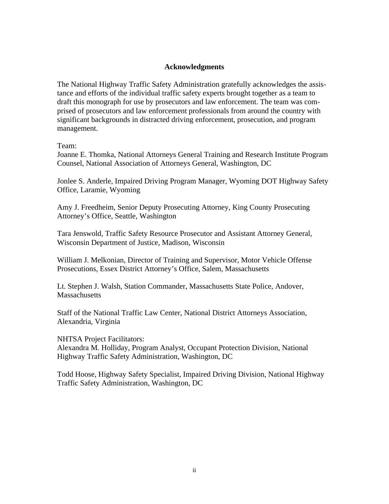#### **Acknowledgments**

<span id="page-3-0"></span>The National Highway Traffic Safety Administration gratefully acknowledges the assistance and efforts of the individual traffic safety experts brought together as a team to draft this monograph for use by prosecutors and law enforcement. The team was comprised of prosecutors and law enforcement professionals from around the country with significant backgrounds in distracted driving enforcement, prosecution, and program management.

Team:

Joanne E. Thomka, National Attorneys General Training and Research Institute Program Counsel, National Association of Attorneys General, Washington, DC

Jonlee S. Anderle, Impaired Driving Program Manager, Wyoming DOT Highway Safety Office, Laramie, Wyoming

Amy J. Freedheim, Senior Deputy Prosecuting Attorney, King County Prosecuting Attorney's Office, Seattle, Washington

Tara Jenswold, Traffic Safety Resource Prosecutor and Assistant Attorney General, Wisconsin Department of Justice, Madison, Wisconsin

William J. Melkonian, Director of Training and Supervisor, Motor Vehicle Offense Prosecutions, Essex District Attorney's Office, Salem, Massachusetts

Lt. Stephen J. Walsh, Station Commander, Massachusetts State Police, Andover, **Massachusetts** 

Staff of the National Traffic Law Center, National District Attorneys Association, Alexandria, Virginia

NHTSA Project Facilitators:

Alexandra M. Holliday, Program Analyst, Occupant Protection Division, National Highway Traffic Safety Administration, Washington, DC

Todd Hoose, Highway Safety Specialist, Impaired Driving Division, National Highway Traffic Safety Administration, Washington, DC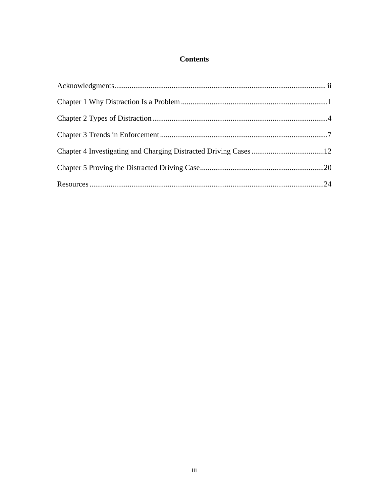## **Contents**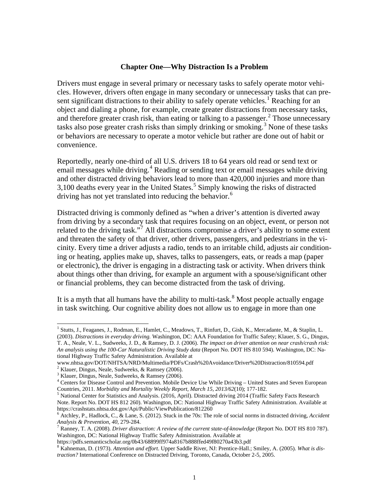#### **Chapter One—Why Distraction Is a Problem**

<span id="page-5-0"></span>Drivers must engage in several primary or necessary tasks to safely operate motor vehicles. However, drivers often engage in many secondary or unnecessary tasks that can pre-sent significant distractions to their ability to safely operate vehicles.<sup>[1](#page-5-1)</sup> Reaching for an object and dialing a phone, for example, create greater distractions from necessary tasks, and therefore greater crash risk, than eating or talking to a passenger.<sup>[2](#page-5-2)</sup> Those unnecessary tasks also pose greater crash risks than simply drinking or smoking.<sup>[3](#page-5-3)</sup> None of these tasks or behaviors are necessary to operate a motor vehicle but rather are done out of habit or convenience.

Reportedly, nearly one-third of all U.S. drivers 18 to 64 years old read or send text or email messages while driving.<sup>[4](#page-5-4)</sup> Reading or sending text or email messages while driving and other distracted driving behaviors lead to more than 420,000 injuries and more than 3,100 deaths every year in the United States.<sup>[5](#page-5-5)</sup> Simply knowing the risks of distracted driving has not yet translated into reducing the behavior.<sup>[6](#page-5-6)</sup>

Distracted driving is commonly defined as "when a driver's attention is diverted away from driving by a secondary task that requires focusing on an object, event, or person not related to the driving task."<sup>[7](#page-5-7)</sup> All distractions compromise a driver's ability to some extent and threaten the safety of that driver, other drivers, passengers, and pedestrians in the vicinity. Every time a driver adjusts a radio, tends to an irritable child, adjusts air conditioning or heating, applies make up, shaves, talks to passengers, eats, or reads a map (paper or electronic), the driver is engaging in a distracting task or activity. When drivers think about things other than driving, for example an argument with a spouse/significant other or financial problems, they can become distracted from the task of driving.

It is a myth that all humans have the ability to multi-task.<sup>[8](#page-5-8)</sup> Most people actually engage in task switching. Our cognitive ability does not allow us to engage in more than one

```
tional Highway Traffic Safety Administration. Available at 
www.nhtsa.gov/DOT/NHTSA/NRD/Multimedia/PDFs/Crash%20Avoidance/Driver%20Distraction/810594.pdf
```
<span id="page-5-1"></span> 1 Stutts, J., Feaganes, J., Rodman, E., Hamlet, C., Meadows, T., Rinfurt, D., Gish, K., Mercadante, M., & Staplin, L. (2003). *Distractions in everyday driving.* Washington, DC: AAA Foundation for Traffic Safety; Klauer, S. G., Dingus, T. A., Neale, V. L., Sudweeks, J. D., & Ramsey, D. J. (2006). *The impact on driver attention on near crash/crash risk: An analysis using the 100-Car Naturalistic Driving Study data* (Report No. DOT HS 810 594). Washington, DC: Na-

<span id="page-5-2"></span> $2^2$  Klauer, Dingus, Neale, Sudweeks, & Ramsey (2006).

<sup>3</sup> Klauer, Dingus, Neale, Sudweeks, & Ramsey (2006).

<span id="page-5-4"></span><span id="page-5-3"></span><sup>4</sup> Centers for Disease Control and Prevention. Mobile Device Use While Driving – United States and Seven European Countries, 2011. *Morbidity and Mortality Weekly Report, March 15, 2013/62*(10); 177-182. 5

<span id="page-5-5"></span><sup>&</sup>lt;sup>5</sup> National Center for Statistics and Analysis. (2016, April). Distracted driving 2014 (Traffic Safety Facts Research Note. Report No. DOT HS 812 260). Washington, DC: National Highway Traffic Safety Administration. Available at https://crashstats.nhtsa.dot.gov/Api/Public/ViewPublication/812260

<span id="page-5-6"></span><sup>6</sup> Atchley, P., Hadlock, C., & Lane, S. (2012). Stuck in the 70s: The role of social norms in distracted driving, *Accident Analysis & Prevention, 40*, 279-284. 7

<span id="page-5-7"></span>Ranney, T. A. (2008). *Driver distraction: A review of the current state-of-knowledge* (Report No. DOT HS 810 787). Washington, DC: National Highway Traffic Safety Administration. Available at

https://pdfs.semanticscholar.org/0b43/68899ff974a8167b888ffed49f80270a43b3.pdf

<span id="page-5-8"></span><sup>8</sup> Kahneman, D. (1973). *Attention and effort*. Upper Saddle River, NJ: Prentice-Hall.; Smiley, A. (2005). *What is distraction?* International Conference on Distracted Driving, Toronto, Canada, October 2-5, 2005.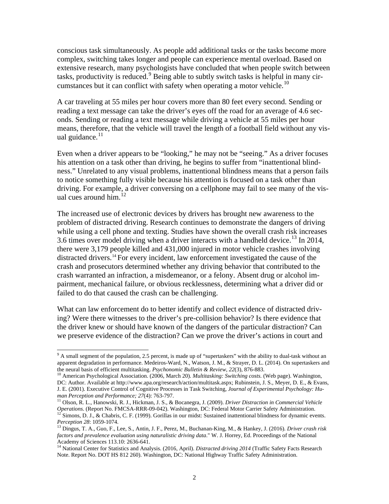conscious task simultaneously. As people add additional tasks or the tasks become more complex, switching takes longer and people can experience mental overload. Based on extensive research, many psychologists have concluded that when people switch between tasks, productivity is reduced.<sup>[9](#page-6-0)</sup> Being able to subtly switch tasks is helpful in many cir-cumstances but it can conflict with safety when operating a motor vehicle.<sup>[10](#page-6-1)</sup>

A car traveling at 55 miles per hour covers more than 80 feet every second. Sending or reading a text message can take the driver's eyes off the road for an average of 4.6 seconds. Sending or reading a text message while driving a vehicle at 55 miles per hour means, therefore, that the vehicle will travel the length of a football field without any vis-ual guidance.<sup>[11](#page-6-2)</sup>

Even when a driver appears to be "looking," he may not be "seeing." As a driver focuses his attention on a task other than driving, he begins to suffer from "inattentional blindness." Unrelated to any visual problems, inattentional blindness means that a person fails to notice something fully visible because his attention is focused on a task other than driving. For example, a driver conversing on a cellphone may fail to see many of the visual cues around him. [12](#page-6-3)

The increased use of electronic devices by drivers has brought new awareness to the problem of distracted driving. Research continues to demonstrate the dangers of driving while using a cell phone and texting. Studies have shown the overall crash risk increases 3.6 times over model driving when a driver interacts with a handheld device.<sup>[13](#page-6-4)</sup> In 2014, there were 3,179 people killed and 431,000 injured in motor vehicle crashes involving distracted drivers.<sup>[14](#page-6-5)</sup> For every incident, law enforcement investigated the cause of the crash and prosecutors determined whether any driving behavior that contributed to the crash warranted an infraction, a misdemeanor, or a felony. Absent drug or alcohol impairment, mechanical failure, or obvious recklessness, determining what a driver did or failed to do that caused the crash can be challenging.

What can law enforcement do to better identify and collect evidence of distracted driving? Were there witnesses to the driver's pre-collision behavior? Is there evidence that the driver knew or should have known of the dangers of the particular distraction? Can we preserve evidence of the distraction? Can we prove the driver's actions in court and

<span id="page-6-0"></span><sup>&</sup>lt;sup>9</sup> A small segment of the population, 2.5 percent, is made up of "supertaskers" with the ability to dual-task without an apparent degradation in performance. Medeiros-Ward, N., Watson, J. M., & Strayer, D. L. (2014). On supertaskers and<br>the neural basis of efficient multitasking. *Psychonomic Bulletin & Review*, 22(3), 876-883.

<span id="page-6-1"></span><sup>&</sup>lt;sup>10</sup> American Psychological Association. (2006, March 20). *Multitasking: Switching costs*. (Web page). Washington, DC: Author. Available at http://www.apa.org/research/action/multitask.aspx; Rubinstein, J. S., Meyer, D. E., & Evans, J. E. (2001). Executive Control of Cognitive Processes in Task Switching, *Journal of Experimental Psychology: Hu-*

*man Perception and Performance; 27*(4): 763-797. <sup>11</sup> Olson, R. L., Hanowski, R. J., Hickman, J. S., & Bocanegra, J. (2009). *Driver Distraction in Commercial Vehicle* 

<span id="page-6-3"></span><span id="page-6-2"></span>Operations. (Report No. FMCSA-RRR-09-042). Washington, DC: Federal Motor Carrier Safety Administration.<br><sup>12</sup> Simons, D. J., & Chabris, C. F. (1999). Gorillas in our midst: Sustained inattentional blindness for dynamic even

<span id="page-6-4"></span><sup>&</sup>lt;sup>13</sup> Dingus, T. A., Guo, F., Lee, S., Antin, J. F., Perez, M., Buchanan-King, M., & Hankey, J. (2016). *Driver crash risk factors and prevalence evaluation using naturalistic driving data*." W. J. Horrey, Ed. Proceedings of the National Academy of Sciences 113.10: 2636-641.

<span id="page-6-5"></span><sup>&</sup>lt;sup>14</sup> National Center for Statistics and Analysis. (2016, April). *Distracted driving 2014* (Traffic Safety Facts Research Note. Report No. DOT HS 812 260). Washington, DC: National Highway Traffic Safety Administration.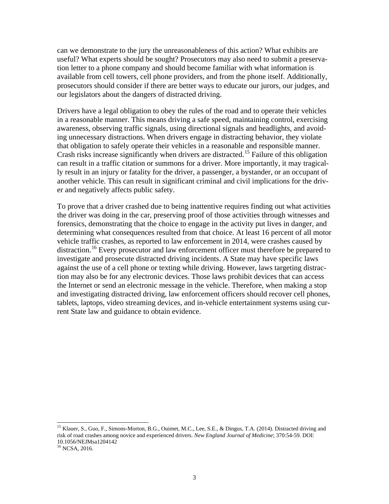can we demonstrate to the jury the unreasonableness of this action? What exhibits are useful? What experts should be sought? Prosecutors may also need to submit a preservation letter to a phone company and should become familiar with what information is available from cell towers, cell phone providers, and from the phone itself. Additionally, prosecutors should consider if there are better ways to educate our jurors, our judges, and our legislators about the dangers of distracted driving.

Drivers have a legal obligation to obey the rules of the road and to operate their vehicles in a reasonable manner. This means driving a safe speed, maintaining control, exercising awareness, observing traffic signals, using directional signals and headlights, and avoiding unnecessary distractions. When drivers engage in distracting behavior, they violate that obligation to safely operate their vehicles in a reasonable and responsible manner. Crash risks increase significantly when drivers are distracted.<sup>[15](#page-7-0)</sup> Failure of this obligation can result in a traffic citation or summons for a driver. More importantly, it may tragically result in an injury or fatality for the driver, a passenger, a bystander, or an occupant of another vehicle. This can result in significant criminal and civil implications for the driver and negatively affects public safety.

To prove that a driver crashed due to being inattentive requires finding out what activities the driver was doing in the car, preserving proof of those activities through witnesses and forensics, demonstrating that the choice to engage in the activity put lives in danger, and determining what consequences resulted from that choice. At least 16 percent of all motor vehicle traffic crashes, as reported to law enforcement in 2014, were crashes caused by distraction.<sup>[16](#page-7-1)</sup> Every prosecutor and law enforcement officer must therefore be prepared to investigate and prosecute distracted driving incidents. A State may have specific laws against the use of a cell phone or texting while driving. However, laws targeting distraction may also be for any electronic devices. Those laws prohibit devices that can access the Internet or send an electronic message in the vehicle. Therefore, when making a stop and investigating distracted driving, law enforcement officers should recover cell phones, tablets, laptops, video streaming devices, and in-vehicle entertainment systems using current State law and guidance to obtain evidence.

<span id="page-7-0"></span><sup>15</sup> Klauer, S., Guo, F., Simons-Morton, B.G., Ouimet, M.C., Lee, S.E., & Dingus, T.A. (2014). Distracted driving and risk of road crashes among novice and experienced drivers. *New England Journal of Medicine*; 370:54-59. DOI: 10.1056/NEJMsa1204142

<span id="page-7-1"></span><sup>&</sup>lt;sup>16</sup> NCSA, 2016.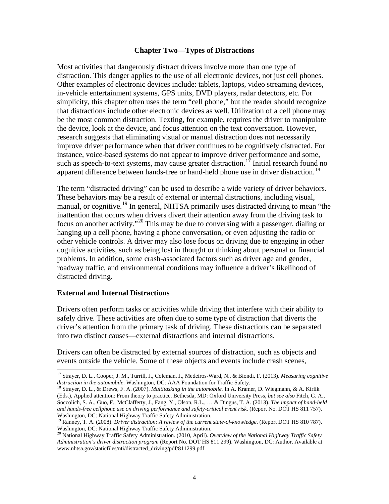#### **Chapter Two—Types of Distractions**

<span id="page-8-0"></span>Most activities that dangerously distract drivers involve more than one type of distraction. This danger applies to the use of all electronic devices, not just cell phones. Other examples of electronic devices include: tablets, laptops, video streaming devices, in-vehicle entertainment systems, GPS units, DVD players, radar detectors, etc. For simplicity, this chapter often uses the term "cell phone," but the reader should recognize that distractions include other electronic devices as well. Utilization of a cell phone may be the most common distraction. Texting, for example, requires the driver to manipulate the device, look at the device, and focus attention on the text conversation. However, research suggests that eliminating visual or manual distraction does not necessarily improve driver performance when that driver continues to be cognitively distracted. For instance, voice-based systems do not appear to improve driver performance and some, such as speech-to-text systems, may cause greater distraction.<sup>17</sup> Initial research found no apparent difference between hands-free or hand-held phone use in driver distraction.<sup>[18](#page-8-2)</sup>

The term "distracted driving" can be used to describe a wide variety of driver behaviors. These behaviors may be a result of external or internal distractions, including visual, manual, or cognitive.<sup>19</sup> In general, NHTSA primarily uses distracted driving to mean "the inattention that occurs when drivers divert their attention away from the driving task to focus on another activity."[20](#page-8-4) This may be due to conversing with a passenger, dialing or hanging up a cell phone, having a phone conversation, or even adjusting the radio or other vehicle controls. A driver may also lose focus on driving due to engaging in other cognitive activities, such as being lost in thought or thinking about personal or financial problems. In addition, some crash-associated factors such as driver age and gender, roadway traffic, and environmental conditions may influence a driver's likelihood of distracted driving.

#### **External and Internal Distractions**

 $\overline{a}$ 

Drivers often perform tasks or activities while driving that interfere with their ability to safely drive. These activities are often due to some type of distraction that diverts the driver's attention from the primary task of driving. These distractions can be separated into two distinct causes—external distractions and internal distractions.

Drivers can often be distracted by external sources of distraction, such as objects and events outside the vehicle. Some of these objects and events include crash scenes,

<span id="page-8-1"></span><sup>17</sup> Strayer, D. L., Cooper, J. M., Turrill, J., Coleman, J., Medeiros-Ward, N., & Biondi, F. (2013). *Measuring cognitive distraction in the automobile*. Washington, DC: AAA Foundation for Traffic Safety. <sup>18</sup> Strayer, D. L., & Drews, F. A. (2007). *Multitasking in the automobile.* In A. Kramer, D. Wiegmann, & A. Kirlik

<span id="page-8-2"></span><sup>(</sup>Eds.), Applied attention: From theory to practice. Bethesda, MD: Oxford University Press, *but see also* Fitch, G. A., Soccolich, S. A., Guo, F., McClafferty, J., Fang, Y., Olson, R.L., … & Dingus, T. A. (2013). *The impact of hand-held and hands-free cellphone use on driving performance and safety-critical event risk*. (Report No. DOT HS 811 757). Washington, DC: National Highway Traffic Safety Administration.

<span id="page-8-3"></span><sup>&</sup>lt;sup>19</sup> Ranney, T. A. (2008). *Driver distraction: A review of the current state-of-knowledge*. (Report DOT HS 810 787). Washington, DC: National Highway Traffic Safety Administration.

<span id="page-8-4"></span><sup>20</sup> National Highway Traffic Safety Administration. (2010, April). *Overview of the National Highway Traffic Safety Administration's driver distraction program* (Report No. DOT HS 811 299). Washington, DC: Author. Available at www.nhtsa.gov/staticfiles/nti/distracted\_driving/pdf/811299.pdf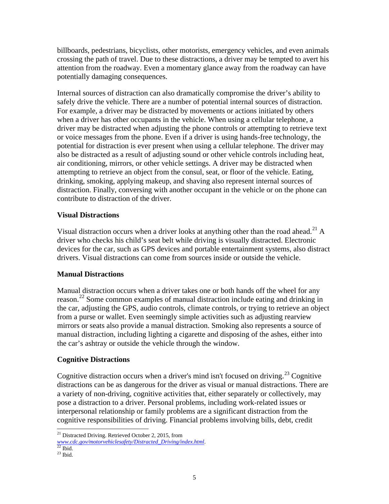billboards, pedestrians, bicyclists, other motorists, emergency vehicles, and even animals crossing the path of travel. Due to these distractions, a driver may be tempted to avert his attention from the roadway. Even a momentary glance away from the roadway can have potentially damaging consequences.

Internal sources of distraction can also dramatically compromise the driver's ability to safely drive the vehicle. There are a number of potential internal sources of distraction. For example, a driver may be distracted by movements or actions initiated by others when a driver has other occupants in the vehicle. When using a cellular telephone, a driver may be distracted when adjusting the phone controls or attempting to retrieve text or voice messages from the phone. Even if a driver is using hands-free technology, the potential for distraction is ever present when using a cellular telephone. The driver may also be distracted as a result of adjusting sound or other vehicle controls including heat, air conditioning, mirrors, or other vehicle settings. A driver may be distracted when attempting to retrieve an object from the consul, seat, or floor of the vehicle. Eating, drinking, smoking, applying makeup, and shaving also represent internal sources of distraction. Finally, conversing with another occupant in the vehicle or on the phone can contribute to distraction of the driver.

## **Visual Distractions**

Visual distraction occurs when a driver looks at anything other than the road ahead.<sup>[21](#page-9-0)</sup> A driver who checks his child's seat belt while driving is visually distracted. Electronic devices for the car, such as GPS devices and portable entertainment systems, also distract drivers. Visual distractions can come from sources inside or outside the vehicle.

## **Manual Distractions**

Manual distraction occurs when a driver takes one or both hands off the wheel for any reason.<sup>[22](#page-9-1)</sup> Some common examples of manual distraction include eating and drinking in the car, adjusting the GPS, audio controls, climate controls, or trying to retrieve an object from a purse or wallet. Even seemingly simple activities such as adjusting rearview mirrors or seats also provide a manual distraction. Smoking also represents a source of manual distraction, including lighting a cigarette and disposing of the ashes, either into the car's ashtray or outside the vehicle through the window.

## **Cognitive Distractions**

Cognitive distraction occurs when a driver's mind isn't focused on driving.<sup>[23](#page-9-2)</sup> Cognitive distractions can be as dangerous for the driver as visual or manual distractions. There are a variety of non-driving, cognitive activities that, either separately or collectively, may pose a distraction to a driver. Personal problems, including work-related issues or interpersonal relationship or family problems are a significant distraction from the cognitive responsibilities of driving. Financial problems involving bills, debt, credit

<span id="page-9-0"></span> <sup>21</sup> Distracted Driving. Retrieved October 2, 2015, from

*[www.cdc.gov/motorvehiclesafety/Distracted\\_Driving/index.html](http://www.cdc.gov/motorvehiclesafety/Distracted_Driving/index.html)*. <sup>22</sup> Ibid. <sup>23</sup> Ibid.

<span id="page-9-2"></span><span id="page-9-1"></span>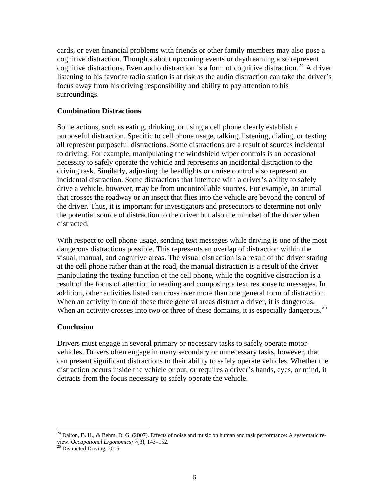cards, or even financial problems with friends or other family members may also pose a cognitive distraction. Thoughts about upcoming events or daydreaming also represent cognitive distractions. Even audio distraction is a form of cognitive distraction.<sup>[24](#page-10-0)</sup> A driver listening to his favorite radio station is at risk as the audio distraction can take the driver's focus away from his driving responsibility and ability to pay attention to his surroundings.

#### **Combination Distractions**

Some actions, such as eating, drinking, or using a cell phone clearly establish a purposeful distraction. Specific to cell phone usage, talking, listening, dialing, or texting all represent purposeful distractions. Some distractions are a result of sources incidental to driving. For example, manipulating the windshield wiper controls is an occasional necessity to safely operate the vehicle and represents an incidental distraction to the driving task. Similarly, adjusting the headlights or cruise control also represent an incidental distraction. Some distractions that interfere with a driver's ability to safely drive a vehicle, however, may be from uncontrollable sources. For example, an animal that crosses the roadway or an insect that flies into the vehicle are beyond the control of the driver. Thus, it is important for investigators and prosecutors to determine not only the potential source of distraction to the driver but also the mindset of the driver when distracted.

With respect to cell phone usage, sending text messages while driving is one of the most dangerous distractions possible. This represents an overlap of distraction within the visual, manual, and cognitive areas. The visual distraction is a result of the driver staring at the cell phone rather than at the road, the manual distraction is a result of the driver manipulating the texting function of the cell phone, while the cognitive distraction is a result of the focus of attention in reading and composing a text response to messages. In addition, other activities listed can cross over more than one general form of distraction. When an activity in one of these three general areas distract a driver, it is dangerous. When an activity crosses into two or three of these domains, it is especially dangerous.<sup>[25](#page-10-1)</sup>

## **Conclusion**

Drivers must engage in several primary or necessary tasks to safely operate motor vehicles. Drivers often engage in many secondary or unnecessary tasks, however, that can present significant distractions to their ability to safely operate vehicles. Whether the distraction occurs inside the vehicle or out, or requires a driver's hands, eyes, or mind, it detracts from the focus necessary to safely operate the vehicle.

<span id="page-10-0"></span> $^{24}$  Dalton, B. H., & Behm, D. G. (2007). Effects of noise and music on human and task performance: A systematic review. *Occupational Ergonomics; 7*(3), 143–152. <sup>25</sup> Distracted Driving, 2015.

<span id="page-10-1"></span>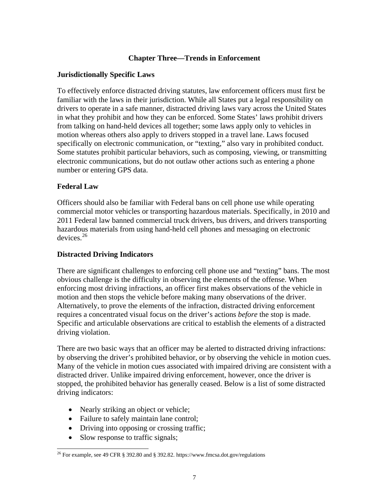## **Chapter Three—Trends in Enforcement**

#### <span id="page-11-0"></span>**Jurisdictionally Specific Laws**

To effectively enforce distracted driving statutes, law enforcement officers must first be familiar with the laws in their jurisdiction. While all States put a legal responsibility on drivers to operate in a safe manner, distracted driving laws vary across the United States in what they prohibit and how they can be enforced. Some States' laws prohibit drivers from talking on hand-held devices all together; some laws apply only to vehicles in motion whereas others also apply to drivers stopped in a travel lane. Laws focused specifically on electronic communication, or "texting," also vary in prohibited conduct. Some statutes prohibit particular behaviors, such as composing, viewing, or transmitting electronic communications, but do not outlaw other actions such as entering a phone number or entering GPS data.

#### **Federal Law**

Officers should also be familiar with Federal bans on cell phone use while operating commercial motor vehicles or transporting hazardous materials. Specifically, in 2010 and 2011 Federal law banned commercial truck drivers, bus drivers, and drivers transporting hazardous materials from using hand-held cell phones and messaging on electronic  $devices.<sup>26</sup>$  $devices.<sup>26</sup>$  $devices.<sup>26</sup>$ 

#### **Distracted Driving Indicators**

There are significant challenges to enforcing cell phone use and "texting" bans. The most obvious challenge is the difficulty in observing the elements of the offense. When enforcing most driving infractions, an officer first makes observations of the vehicle in motion and then stops the vehicle before making many observations of the driver. Alternatively, to prove the elements of the infraction, distracted driving enforcement requires a concentrated visual focus on the driver's actions *before* the stop is made. Specific and articulable observations are critical to establish the elements of a distracted driving violation.

There are two basic ways that an officer may be alerted to distracted driving infractions: by observing the driver's prohibited behavior, or by observing the vehicle in motion cues. Many of the vehicle in motion cues associated with impaired driving are consistent with a distracted driver. Unlike impaired driving enforcement, however, once the driver is stopped, the prohibited behavior has generally ceased. Below is a list of some distracted driving indicators:

- Nearly striking an object or vehicle;
- Failure to safely maintain lane control;
- Driving into opposing or crossing traffic;
- Slow response to traffic signals;

<span id="page-11-1"></span> $\overline{a}$ <sup>26</sup> For example, see 49 CFR § 392.80 and § 392.82. https://www.fmcsa.dot.gov/regulations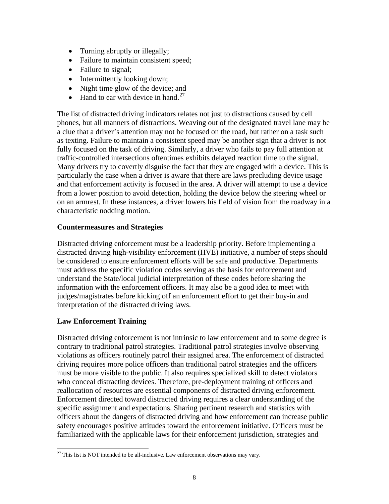- Turning abruptly or illegally;
- Failure to maintain consistent speed;
- Failure to signal;
- Intermittently looking down;
- Night time glow of the device; and
- Hand to ear with device in hand.<sup>[27](#page-12-0)</sup>

The list of distracted driving indicators relates not just to distractions caused by cell phones, but all manners of distractions. Weaving out of the designated travel lane may be a clue that a driver's attention may not be focused on the road, but rather on a task such as texting. Failure to maintain a consistent speed may be another sign that a driver is not fully focused on the task of driving. Similarly, a driver who fails to pay full attention at traffic-controlled intersections oftentimes exhibits delayed reaction time to the signal. Many drivers try to covertly disguise the fact that they are engaged with a device. This is particularly the case when a driver is aware that there are laws precluding device usage and that enforcement activity is focused in the area. A driver will attempt to use a device from a lower position to avoid detection, holding the device below the steering wheel or on an armrest. In these instances, a driver lowers his field of vision from the roadway in a characteristic nodding motion.

## **Countermeasures and Strategies**

Distracted driving enforcement must be a leadership priority. Before implementing a distracted driving high-visibility enforcement (HVE) initiative, a number of steps should be considered to ensure enforcement efforts will be safe and productive. Departments must address the specific violation codes serving as the basis for enforcement and understand the State/local judicial interpretation of these codes before sharing the information with the enforcement officers. It may also be a good idea to meet with judges/magistrates before kicking off an enforcement effort to get their buy-in and interpretation of the distracted driving laws.

## **Law Enforcement Training**

Distracted driving enforcement is not intrinsic to law enforcement and to some degree is contrary to traditional patrol strategies. Traditional patrol strategies involve observing violations as officers routinely patrol their assigned area. The enforcement of distracted driving requires more police officers than traditional patrol strategies and the officers must be more visible to the public. It also requires specialized skill to detect violators who conceal distracting devices. Therefore, pre-deployment training of officers and reallocation of resources are essential components of distracted driving enforcement. Enforcement directed toward distracted driving requires a clear understanding of the specific assignment and expectations. Sharing pertinent research and statistics with officers about the dangers of distracted driving and how enforcement can increase public safety encourages positive attitudes toward the enforcement initiative. Officers must be familiarized with the applicable laws for their enforcement jurisdiction, strategies and

<span id="page-12-0"></span> $27$  This list is NOT intended to be all-inclusive. Law enforcement observations may vary.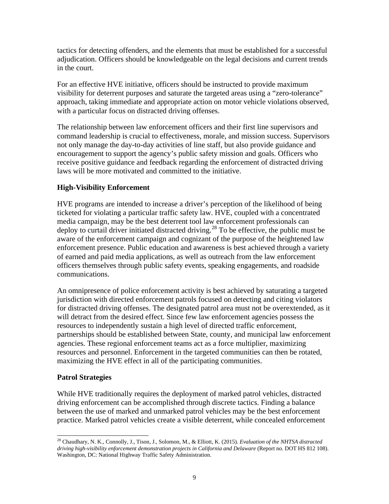tactics for detecting offenders, and the elements that must be established for a successful adjudication. Officers should be knowledgeable on the legal decisions and current trends in the court.

For an effective HVE initiative, officers should be instructed to provide maximum visibility for deterrent purposes and saturate the targeted areas using a "zero-tolerance" approach, taking immediate and appropriate action on motor vehicle violations observed, with a particular focus on distracted driving offenses.

The relationship between law enforcement officers and their first line supervisors and command leadership is crucial to effectiveness, morale, and mission success. Supervisors not only manage the day-to-day activities of line staff, but also provide guidance and encouragement to support the agency's public safety mission and goals. Officers who receive positive guidance and feedback regarding the enforcement of distracted driving laws will be more motivated and committed to the initiative.

## **High-Visibility Enforcement**

HVE programs are intended to increase a driver's perception of the likelihood of being ticketed for violating a particular traffic safety law. HVE, coupled with a concentrated media campaign, may be the best deterrent tool law enforcement professionals can deploy to curtail driver initiated distracted driving.<sup>[28](#page-13-0)</sup> To be effective, the public must be aware of the enforcement campaign and cognizant of the purpose of the heightened law enforcement presence. Public education and awareness is best achieved through a variety of earned and paid media applications, as well as outreach from the law enforcement officers themselves through public safety events, speaking engagements, and roadside communications.

An omnipresence of police enforcement activity is best achieved by saturating a targeted jurisdiction with directed enforcement patrols focused on detecting and citing violators for distracted driving offenses. The designated patrol area must not be overextended, as it will detract from the desired effect. Since few law enforcement agencies possess the resources to independently sustain a high level of directed traffic enforcement, partnerships should be established between State, county, and municipal law enforcement agencies. These regional enforcement teams act as a force multiplier, maximizing resources and personnel. Enforcement in the targeted communities can then be rotated, maximizing the HVE effect in all of the participating communities.

## **Patrol Strategies**

While HVE traditionally requires the deployment of marked patrol vehicles, distracted driving enforcement can be accomplished through discrete tactics. Finding a balance between the use of marked and unmarked patrol vehicles may be the best enforcement practice. Marked patrol vehicles create a visible deterrent, while concealed enforcement

<span id="page-13-0"></span> $\overline{a}$ 28 Chaudhary, N. K., Connolly, J., Tison, J., Solomon, M., & Elliott, K. (2015). *Evaluation of the NHTSA distracted driving high-visibility enforcement demonstration projects in California and Delaware* (Report no. DOT HS 812 108). Washington, DC: National Highway Traffic Safety Administration.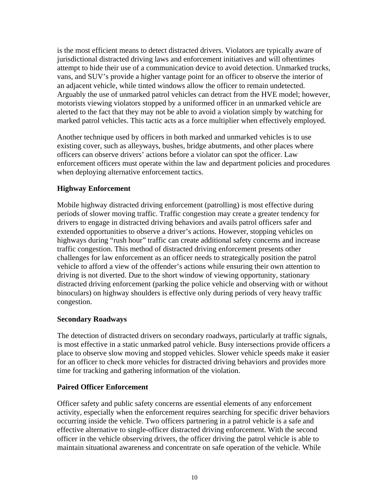is the most efficient means to detect distracted drivers. Violators are typically aware of jurisdictional distracted driving laws and enforcement initiatives and will oftentimes attempt to hide their use of a communication device to avoid detection. Unmarked trucks, vans, and SUV's provide a higher vantage point for an officer to observe the interior of an adjacent vehicle, while tinted windows allow the officer to remain undetected. Arguably the use of unmarked patrol vehicles can detract from the HVE model; however, motorists viewing violators stopped by a uniformed officer in an unmarked vehicle are alerted to the fact that they may not be able to avoid a violation simply by watching for marked patrol vehicles. This tactic acts as a force multiplier when effectively employed.

Another technique used by officers in both marked and unmarked vehicles is to use existing cover, such as alleyways, bushes, bridge abutments, and other places where officers can observe drivers' actions before a violator can spot the officer. Law enforcement officers must operate within the law and department policies and procedures when deploying alternative enforcement tactics.

## **Highway Enforcement**

Mobile highway distracted driving enforcement (patrolling) is most effective during periods of slower moving traffic. Traffic congestion may create a greater tendency for drivers to engage in distracted driving behaviors and avails patrol officers safer and extended opportunities to observe a driver's actions. However, stopping vehicles on highways during "rush hour" traffic can create additional safety concerns and increase traffic congestion. This method of distracted driving enforcement presents other challenges for law enforcement as an officer needs to strategically position the patrol vehicle to afford a view of the offender's actions while ensuring their own attention to driving is not diverted. Due to the short window of viewing opportunity, stationary distracted driving enforcement (parking the police vehicle and observing with or without binoculars) on highway shoulders is effective only during periods of very heavy traffic congestion.

## **Secondary Roadways**

The detection of distracted drivers on secondary roadways, particularly at traffic signals, is most effective in a static unmarked patrol vehicle. Busy intersections provide officers a place to observe slow moving and stopped vehicles. Slower vehicle speeds make it easier for an officer to check more vehicles for distracted driving behaviors and provides more time for tracking and gathering information of the violation.

## **Paired Officer Enforcement**

Officer safety and public safety concerns are essential elements of any enforcement activity, especially when the enforcement requires searching for specific driver behaviors occurring inside the vehicle. Two officers partnering in a patrol vehicle is a safe and effective alternative to single-officer distracted driving enforcement. With the second officer in the vehicle observing drivers, the officer driving the patrol vehicle is able to maintain situational awareness and concentrate on safe operation of the vehicle. While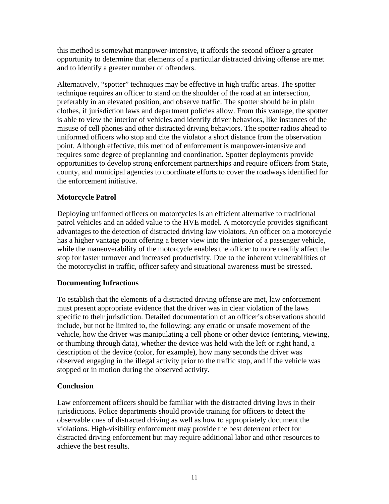this method is somewhat manpower-intensive, it affords the second officer a greater opportunity to determine that elements of a particular distracted driving offense are met and to identify a greater number of offenders.

Alternatively, "spotter" techniques may be effective in high traffic areas. The spotter technique requires an officer to stand on the shoulder of the road at an intersection, preferably in an elevated position, and observe traffic. The spotter should be in plain clothes, if jurisdiction laws and department policies allow. From this vantage, the spotter is able to view the interior of vehicles and identify driver behaviors, like instances of the misuse of cell phones and other distracted driving behaviors. The spotter radios ahead to uniformed officers who stop and cite the violator a short distance from the observation point. Although effective, this method of enforcement is manpower-intensive and requires some degree of preplanning and coordination. Spotter deployments provide opportunities to develop strong enforcement partnerships and require officers from State, county, and municipal agencies to coordinate efforts to cover the roadways identified for the enforcement initiative.

## **Motorcycle Patrol**

Deploying uniformed officers on motorcycles is an efficient alternative to traditional patrol vehicles and an added value to the HVE model. A motorcycle provides significant advantages to the detection of distracted driving law violators. An officer on a motorcycle has a higher vantage point offering a better view into the interior of a passenger vehicle, while the maneuverability of the motorcycle enables the officer to more readily affect the stop for faster turnover and increased productivity. Due to the inherent vulnerabilities of the motorcyclist in traffic, officer safety and situational awareness must be stressed.

## **Documenting Infractions**

To establish that the elements of a distracted driving offense are met, law enforcement must present appropriate evidence that the driver was in clear violation of the laws specific to their jurisdiction. Detailed documentation of an officer's observations should include, but not be limited to, the following: any erratic or unsafe movement of the vehicle, how the driver was manipulating a cell phone or other device (entering, viewing, or thumbing through data), whether the device was held with the left or right hand, a description of the device (color, for example), how many seconds the driver was observed engaging in the illegal activity prior to the traffic stop, and if the vehicle was stopped or in motion during the observed activity.

## **Conclusion**

Law enforcement officers should be familiar with the distracted driving laws in their jurisdictions. Police departments should provide training for officers to detect the observable cues of distracted driving as well as how to appropriately document the violations. High-visibility enforcement may provide the best deterrent effect for distracted driving enforcement but may require additional labor and other resources to achieve the best results.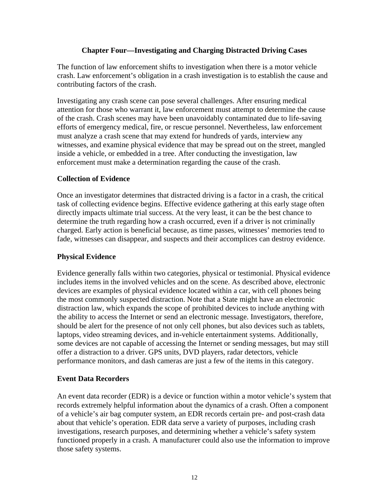## **Chapter Four—Investigating and Charging Distracted Driving Cases**

<span id="page-16-0"></span>The function of law enforcement shifts to investigation when there is a motor vehicle crash. Law enforcement's obligation in a crash investigation is to establish the cause and contributing factors of the crash.

Investigating any crash scene can pose several challenges. After ensuring medical attention for those who warrant it, law enforcement must attempt to determine the cause of the crash. Crash scenes may have been unavoidably contaminated due to life-saving efforts of emergency medical, fire, or rescue personnel. Nevertheless, law enforcement must analyze a crash scene that may extend for hundreds of yards, interview any witnesses, and examine physical evidence that may be spread out on the street, mangled inside a vehicle, or embedded in a tree. After conducting the investigation, law enforcement must make a determination regarding the cause of the crash.

## **Collection of Evidence**

Once an investigator determines that distracted driving is a factor in a crash, the critical task of collecting evidence begins. Effective evidence gathering at this early stage often directly impacts ultimate trial success. At the very least, it can be the best chance to determine the truth regarding how a crash occurred, even if a driver is not criminally charged. Early action is beneficial because, as time passes, witnesses' memories tend to fade, witnesses can disappear, and suspects and their accomplices can destroy evidence.

#### **Physical Evidence**

Evidence generally falls within two categories, physical or testimonial. Physical evidence includes items in the involved vehicles and on the scene. As described above, electronic devices are examples of physical evidence located within a car, with cell phones being the most commonly suspected distraction. Note that a State might have an electronic distraction law, which expands the scope of prohibited devices to include anything with the ability to access the Internet or send an electronic message. Investigators, therefore, should be alert for the presence of not only cell phones, but also devices such as tablets, laptops, video streaming devices, and in-vehicle entertainment systems. Additionally, some devices are not capable of accessing the Internet or sending messages, but may still offer a distraction to a driver. GPS units, DVD players, radar detectors, vehicle performance monitors, and dash cameras are just a few of the items in this category.

## **Event Data Recorders**

An event data recorder (EDR) is a device or function within a motor vehicle's system that records extremely helpful information about the dynamics of a crash. Often a component of a vehicle's air bag computer system, an EDR records certain pre- and post-crash data about that vehicle's operation. EDR data serve a variety of purposes, including crash investigations, research purposes, and determining whether a vehicle's safety system functioned properly in a crash. A manufacturer could also use the information to improve those safety systems.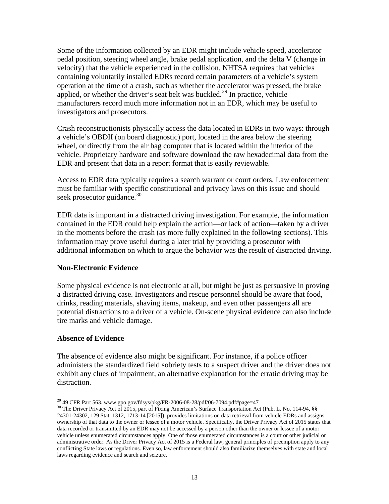Some of the information collected by an EDR might include vehicle speed, accelerator pedal position, steering wheel angle, brake pedal application, and the delta V (change in velocity) that the vehicle experienced in the collision. NHTSA requires that vehicles containing voluntarily installed EDRs record certain parameters of a vehicle's system operation at the time of a crash, such as whether the accelerator was pressed, the brake applied, or whether the driver's seat belt was buckled.<sup>29</sup> In practice, vehicle manufacturers record much more information not in an EDR, which may be useful to investigators and prosecutors.

Crash reconstructionists physically access the data located in EDRs in two ways: through a vehicle's OBDII (on board diagnostic) port, located in the area below the steering wheel, or directly from the air bag computer that is located within the interior of the vehicle. Proprietary hardware and software download the raw hexadecimal data from the EDR and present that data in a report format that is easily reviewable.

Access to EDR data typically requires a search warrant or court orders. Law enforcement must be familiar with specific constitutional and privacy laws on this issue and should seek prosecutor guidance.<sup>[30](#page-17-1)</sup>

EDR data is important in a distracted driving investigation. For example, the information contained in the EDR could help explain the action—or lack of action—taken by a driver in the moments before the crash (as more fully explained in the following sections). This information may prove useful during a later trial by providing a prosecutor with additional information on which to argue the behavior was the result of distracted driving.

#### **Non-Electronic Evidence**

Some physical evidence is not electronic at all, but might be just as persuasive in proving a distracted driving case. Investigators and rescue personnel should be aware that food, drinks, reading materials, shaving items, makeup, and even other passengers all are potential distractions to a driver of a vehicle. On-scene physical evidence can also include tire marks and vehicle damage.

#### **Absence of Evidence**

The absence of evidence also might be significant. For instance, if a police officer administers the standardized field sobriety tests to a suspect driver and the driver does not exhibit any clues of impairment, an alternative explanation for the erratic driving may be distraction.

 $\overline{a}$ <sup>29</sup> 49 CFR Part 563. www.gpo.gov/fdsys/pkg/FR-2006-08-28/pdf/06-7094.pdf#page=47

<span id="page-17-1"></span><span id="page-17-0"></span><sup>&</sup>lt;sup>30</sup> The Driver Privacy Act of 2015, part of Fixing American's Surface Transportation Act (Pub. L. No. 114-94, §§ 24301-24302, 129 Stat. 1312, 1713-14 [2015]), provides limitations on data retrieval from vehicle EDRs and assigns ownership of that data to the owner or lessee of a motor vehicle. Specifically, the Driver Privacy Act of 2015 states that data recorded or transmitted by an EDR may not be accessed by a person other than the owner or lessee of a motor vehicle unless enumerated circumstances apply. One of those enumerated circumstances is a court or other judicial or administrative order. As the Driver Privacy Act of 2015 is a Federal law, general principles of preemption apply to any conflicting State laws or regulations. Even so, law enforcement should also familiarize themselves with state and local laws regarding evidence and search and seizure.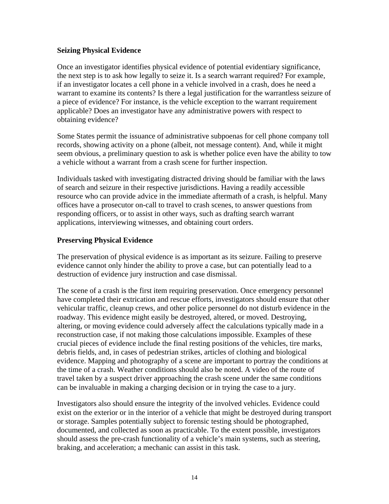#### **Seizing Physical Evidence**

Once an investigator identifies physical evidence of potential evidentiary significance, the next step is to ask how legally to seize it. Is a search warrant required? For example, if an investigator locates a cell phone in a vehicle involved in a crash, does he need a warrant to examine its contents? Is there a legal justification for the warrantless seizure of a piece of evidence? For instance, is the vehicle exception to the warrant requirement applicable? Does an investigator have any administrative powers with respect to obtaining evidence?

Some States permit the issuance of administrative subpoenas for cell phone company toll records, showing activity on a phone (albeit, not message content). And, while it might seem obvious, a preliminary question to ask is whether police even have the ability to tow a vehicle without a warrant from a crash scene for further inspection.

Individuals tasked with investigating distracted driving should be familiar with the laws of search and seizure in their respective jurisdictions. Having a readily accessible resource who can provide advice in the immediate aftermath of a crash, is helpful. Many offices have a prosecutor on-call to travel to crash scenes, to answer questions from responding officers, or to assist in other ways, such as drafting search warrant applications, interviewing witnesses, and obtaining court orders.

#### **Preserving Physical Evidence**

The preservation of physical evidence is as important as its seizure. Failing to preserve evidence cannot only hinder the ability to prove a case, but can potentially lead to a destruction of evidence jury instruction and case dismissal.

The scene of a crash is the first item requiring preservation. Once emergency personnel have completed their extrication and rescue efforts, investigators should ensure that other vehicular traffic, cleanup crews, and other police personnel do not disturb evidence in the roadway. This evidence might easily be destroyed, altered, or moved. Destroying, altering, or moving evidence could adversely affect the calculations typically made in a reconstruction case, if not making those calculations impossible. Examples of these crucial pieces of evidence include the final resting positions of the vehicles, tire marks, debris fields, and, in cases of pedestrian strikes, articles of clothing and biological evidence. Mapping and photography of a scene are important to portray the conditions at the time of a crash. Weather conditions should also be noted. A video of the route of travel taken by a suspect driver approaching the crash scene under the same conditions can be invaluable in making a charging decision or in trying the case to a jury.

Investigators also should ensure the integrity of the involved vehicles. Evidence could exist on the exterior or in the interior of a vehicle that might be destroyed during transport or storage. Samples potentially subject to forensic testing should be photographed, documented, and collected as soon as practicable. To the extent possible, investigators should assess the pre-crash functionality of a vehicle's main systems, such as steering, braking, and acceleration; a mechanic can assist in this task.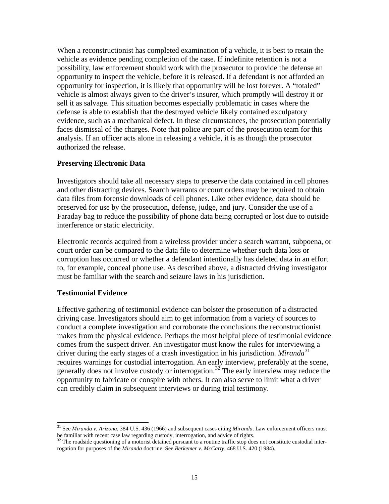When a reconstructionist has completed examination of a vehicle, it is best to retain the vehicle as evidence pending completion of the case. If indefinite retention is not a possibility, law enforcement should work with the prosecutor to provide the defense an opportunity to inspect the vehicle, before it is released. If a defendant is not afforded an opportunity for inspection, it is likely that opportunity will be lost forever. A "totaled" vehicle is almost always given to the driver's insurer, which promptly will destroy it or sell it as salvage. This situation becomes especially problematic in cases where the defense is able to establish that the destroyed vehicle likely contained exculpatory evidence, such as a mechanical defect. In these circumstances, the prosecution potentially faces dismissal of the charges. Note that police are part of the prosecution team for this analysis. If an officer acts alone in releasing a vehicle, it is as though the prosecutor authorized the release.

#### **Preserving Electronic Data**

Investigators should take all necessary steps to preserve the data contained in cell phones and other distracting devices. Search warrants or court orders may be required to obtain data files from forensic downloads of cell phones. Like other evidence, data should be preserved for use by the prosecution, defense, judge, and jury. Consider the use of a Faraday bag to reduce the possibility of phone data being corrupted or lost due to outside interference or static electricity.

Electronic records acquired from a wireless provider under a search warrant, subpoena, or court order can be compared to the data file to determine whether such data loss or corruption has occurred or whether a defendant intentionally has deleted data in an effort to, for example, conceal phone use. As described above, a distracted driving investigator must be familiar with the search and seizure laws in his jurisdiction.

#### **Testimonial Evidence**

Effective gathering of testimonial evidence can bolster the prosecution of a distracted driving case. Investigators should aim to get information from a variety of sources to conduct a complete investigation and corroborate the conclusions the reconstructionist makes from the physical evidence. Perhaps the most helpful piece of testimonial evidence comes from the suspect driver. An investigator must know the rules for interviewing a driver during the early stages of a crash investigation in his jurisdiction. *Miranda*<sup>[31](#page-21-0)</sup> requires warnings for custodial interrogation. An early interview, preferably at the scene, generally does not involve custody or interrogation.<sup>[32](#page-21-1)</sup> The early interview may reduce the opportunity to fabricate or conspire with others. It can also serve to limit what a driver can credibly claim in subsequent interviews or during trial testimony.

 $\overline{a}$ 31 See *Miranda v. Arizona*, 384 U.S. 436 (1966) and subsequent cases citing *Miranda*. Law enforcement officers must be familiar with recent case law regarding custody, interrogation, and advice of rights.

 $32$  The roadside questioning of a motorist detained pursuant to a routine traffic stop does not constitute custodial interrogation for purposes of the *Miranda* doctrine. See *Berkemer v. McCarty*, 468 U.S. 420 (1984).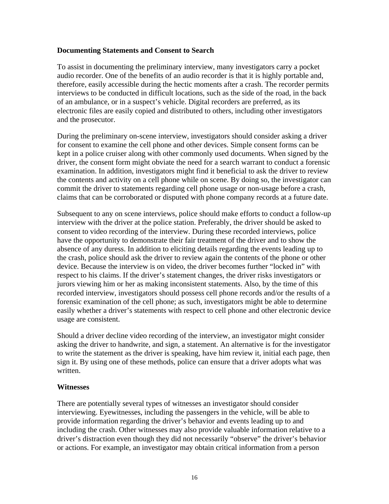#### **Documenting Statements and Consent to Search**

To assist in documenting the preliminary interview, many investigators carry a pocket audio recorder. One of the benefits of an audio recorder is that it is highly portable and, therefore, easily accessible during the hectic moments after a crash. The recorder permits interviews to be conducted in difficult locations, such as the side of the road, in the back of an ambulance, or in a suspect's vehicle. Digital recorders are preferred, as its electronic files are easily copied and distributed to others, including other investigators and the prosecutor.

During the preliminary on-scene interview, investigators should consider asking a driver for consent to examine the cell phone and other devices. Simple consent forms can be kept in a police cruiser along with other commonly used documents. When signed by the driver, the consent form might obviate the need for a search warrant to conduct a forensic examination. In addition, investigators might find it beneficial to ask the driver to review the contents and activity on a cell phone while on scene. By doing so, the investigator can commit the driver to statements regarding cell phone usage or non-usage before a crash, claims that can be corroborated or disputed with phone company records at a future date.

Subsequent to any on scene interviews, police should make efforts to conduct a follow-up interview with the driver at the police station. Preferably, the driver should be asked to consent to video recording of the interview. During these recorded interviews, police have the opportunity to demonstrate their fair treatment of the driver and to show the absence of any duress. In addition to eliciting details regarding the events leading up to the crash, police should ask the driver to review again the contents of the phone or other device. Because the interview is on video, the driver becomes further "locked in" with respect to his claims. If the driver's statement changes, the driver risks investigators or jurors viewing him or her as making inconsistent statements. Also, by the time of this recorded interview, investigators should possess cell phone records and/or the results of a forensic examination of the cell phone; as such, investigators might be able to determine easily whether a driver's statements with respect to cell phone and other electronic device usage are consistent.

Should a driver decline video recording of the interview, an investigator might consider asking the driver to handwrite, and sign, a statement. An alternative is for the investigator to write the statement as the driver is speaking, have him review it, initial each page, then sign it. By using one of these methods, police can ensure that a driver adopts what was written.

#### **Witnesses**

There are potentially several types of witnesses an investigator should consider interviewing. Eyewitnesses, including the passengers in the vehicle, will be able to provide information regarding the driver's behavior and events leading up to and including the crash. Other witnesses may also provide valuable information relative to a driver's distraction even though they did not necessarily "observe" the driver's behavior or actions. For example, an investigator may obtain critical information from a person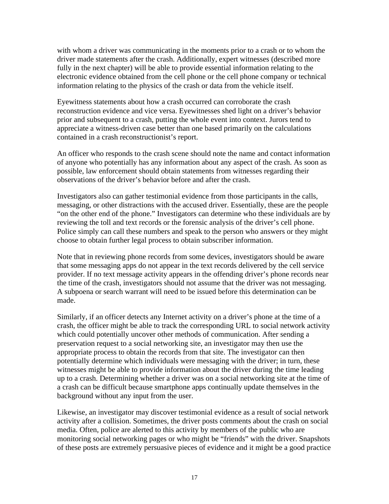with whom a driver was communicating in the moments prior to a crash or to whom the driver made statements after the crash. Additionally, expert witnesses (described more fully in the next chapter) will be able to provide essential information relating to the electronic evidence obtained from the cell phone or the cell phone company or technical information relating to the physics of the crash or data from the vehicle itself.

Eyewitness statements about how a crash occurred can corroborate the crash reconstruction evidence and vice versa. Eyewitnesses shed light on a driver's behavior prior and subsequent to a crash, putting the whole event into context. Jurors tend to appreciate a witness-driven case better than one based primarily on the calculations contained in a crash reconstructionist's report.

An officer who responds to the crash scene should note the name and contact information of anyone who potentially has any information about any aspect of the crash. As soon as possible, law enforcement should obtain statements from witnesses regarding their observations of the driver's behavior before and after the crash.

Investigators also can gather testimonial evidence from those participants in the calls, messaging, or other distractions with the accused driver. Essentially, these are the people "on the other end of the phone." Investigators can determine who these individuals are by reviewing the toll and text records or the forensic analysis of the driver's cell phone. Police simply can call these numbers and speak to the person who answers or they might choose to obtain further legal process to obtain subscriber information.

Note that in reviewing phone records from some devices, investigators should be aware that some messaging apps do not appear in the text records delivered by the cell service provider. If no text message activity appears in the offending driver's phone records near the time of the crash, investigators should not assume that the driver was not messaging. A subpoena or search warrant will need to be issued before this determination can be made.

Similarly, if an officer detects any Internet activity on a driver's phone at the time of a crash, the officer might be able to track the corresponding URL to social network activity which could potentially uncover other methods of communication. After sending a preservation request to a social networking site, an investigator may then use the appropriate process to obtain the records from that site. The investigator can then potentially determine which individuals were messaging with the driver; in turn, these witnesses might be able to provide information about the driver during the time leading up to a crash. Determining whether a driver was on a social networking site at the time of a crash can be difficult because smartphone apps continually update themselves in the background without any input from the user.

<span id="page-21-1"></span><span id="page-21-0"></span>Likewise, an investigator may discover testimonial evidence as a result of social network activity after a collision. Sometimes, the driver posts comments about the crash on social media. Often, police are alerted to this activity by members of the public who are monitoring social networking pages or who might be "friends" with the driver. Snapshots of these posts are extremely persuasive pieces of evidence and it might be a good practice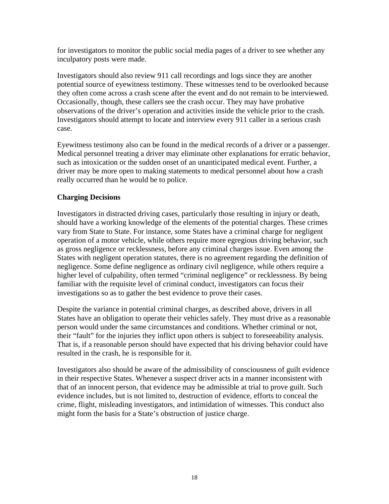for investigators to monitor the public social media pages of a driver to see whether any inculpatory posts were made.

Investigators should also review 911 call recordings and logs since they are another potential source of eyewitness testimony. These witnesses tend to be overlooked because they often come across a crash scene after the event and do not remain to be interviewed. Occasionally, though, these callers see the crash occur. They may have probative observations of the driver's operation and activities inside the vehicle prior to the crash. Investigators should attempt to locate and interview every 911 caller in a serious crash case.

Eyewitness testimony also can be found in the medical records of a driver or a passenger. Medical personnel treating a driver may eliminate other explanations for erratic behavior, such as intoxication or the sudden onset of an unanticipated medical event. Further, a driver may be more open to making statements to medical personnel about how a crash really occurred than he would be to police.

## **Charging Decisions**

Investigators in distracted driving cases, particularly those resulting in injury or death, should have a working knowledge of the elements of the potential charges. These crimes vary from State to State. For instance, some States have a criminal charge for negligent operation of a motor vehicle, while others require more egregious driving behavior, such as gross negligence or recklessness, before any criminal charges issue. Even among the States with negligent operation statutes, there is no agreement regarding the definition of negligence. Some define negligence as ordinary civil negligence, while others require a higher level of culpability, often termed "criminal negligence" or recklessness. By being familiar with the requisite level of criminal conduct, investigators can focus their investigations so as to gather the best evidence to prove their cases.

Despite the variance in potential criminal charges, as described above, drivers in all States have an obligation to operate their vehicles safely. They must drive as a reasonable person would under the same circumstances and conditions. Whether criminal or not, their "fault" for the injuries they inflict upon others is subject to foreseeability analysis. That is, if a reasonable person should have expected that his driving behavior could have resulted in the crash, he is responsible for it.

Investigators also should be aware of the admissibility of consciousness of guilt evidence in their respective States. Whenever a suspect driver acts in a manner inconsistent with that of an innocent person, that evidence may be admissible at trial to prove guilt. Such evidence includes, but is not limited to, destruction of evidence, efforts to conceal the crime, flight, misleading investigators, and intimidation of witnesses. This conduct also might form the basis for a State's obstruction of justice charge.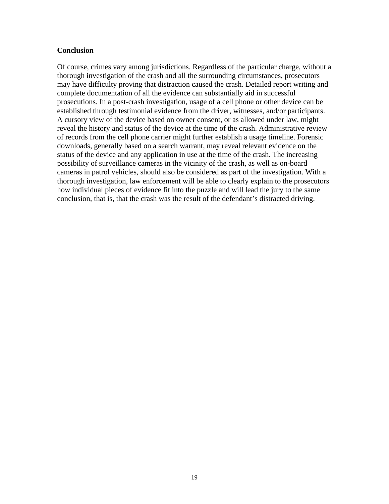#### **Conclusion**

Of course, crimes vary among jurisdictions. Regardless of the particular charge, without a thorough investigation of the crash and all the surrounding circumstances, prosecutors may have difficulty proving that distraction caused the crash. Detailed report writing and complete documentation of all the evidence can substantially aid in successful prosecutions. In a post-crash investigation, usage of a cell phone or other device can be established through testimonial evidence from the driver, witnesses, and/or participants. A cursory view of the device based on owner consent, or as allowed under law, might reveal the history and status of the device at the time of the crash. Administrative review of records from the cell phone carrier might further establish a usage timeline. Forensic downloads, generally based on a search warrant, may reveal relevant evidence on the status of the device and any application in use at the time of the crash. The increasing possibility of surveillance cameras in the vicinity of the crash, as well as on-board cameras in patrol vehicles, should also be considered as part of the investigation. With a thorough investigation, law enforcement will be able to clearly explain to the prosecutors how individual pieces of evidence fit into the puzzle and will lead the jury to the same conclusion, that is, that the crash was the result of the defendant's distracted driving.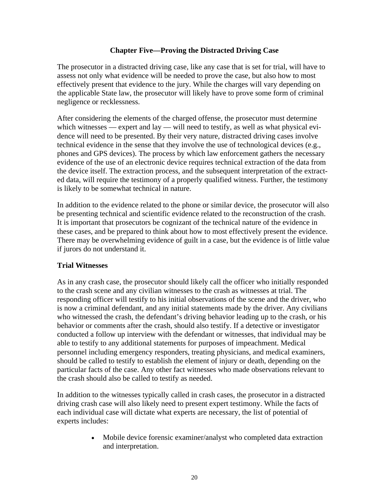#### **Chapter Five—Proving the Distracted Driving Case**

<span id="page-24-0"></span>The prosecutor in a distracted driving case, like any case that is set for trial, will have to assess not only what evidence will be needed to prove the case, but also how to most effectively present that evidence to the jury. While the charges will vary depending on the applicable State law, the prosecutor will likely have to prove some form of criminal negligence or recklessness.

After considering the elements of the charged offense, the prosecutor must determine which witnesses — expert and  $lay$  — will need to testify, as well as what physical evidence will need to be presented. By their very nature, distracted driving cases involve technical evidence in the sense that they involve the use of technological devices (e.g., phones and GPS devices). The process by which law enforcement gathers the necessary evidence of the use of an electronic device requires technical extraction of the data from the device itself. The extraction process, and the subsequent interpretation of the extracted data, will require the testimony of a properly qualified witness. Further, the testimony is likely to be somewhat technical in nature.

In addition to the evidence related to the phone or similar device, the prosecutor will also be presenting technical and scientific evidence related to the reconstruction of the crash. It is important that prosecutors be cognizant of the technical nature of the evidence in these cases, and be prepared to think about how to most effectively present the evidence. There may be overwhelming evidence of guilt in a case, but the evidence is of little value if jurors do not understand it.

#### **Trial Witnesses**

As in any crash case, the prosecutor should likely call the officer who initially responded to the crash scene and any civilian witnesses to the crash as witnesses at trial. The responding officer will testify to his initial observations of the scene and the driver, who is now a criminal defendant, and any initial statements made by the driver. Any civilians who witnessed the crash, the defendant's driving behavior leading up to the crash, or his behavior or comments after the crash, should also testify. If a detective or investigator conducted a follow up interview with the defendant or witnesses, that individual may be able to testify to any additional statements for purposes of impeachment. Medical personnel including emergency responders, treating physicians, and medical examiners, should be called to testify to establish the element of injury or death, depending on the particular facts of the case. Any other fact witnesses who made observations relevant to the crash should also be called to testify as needed.

In addition to the witnesses typically called in crash cases, the prosecutor in a distracted driving crash case will also likely need to present expert testimony. While the facts of each individual case will dictate what experts are necessary, the list of potential of experts includes:

> • Mobile device forensic examiner/analyst who completed data extraction and interpretation.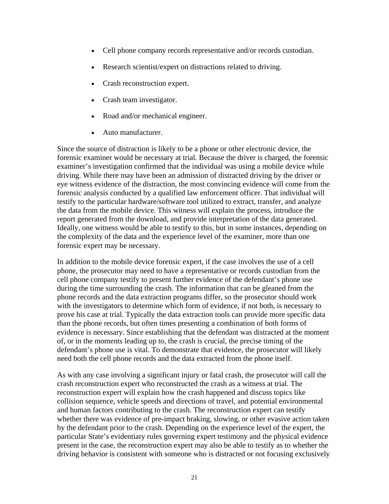- Cell phone company records representative and/or records custodian.
- Research scientist/expert on distractions related to driving.
- Crash reconstruction expert.
- Crash team investigator.
- Road and/or mechanical engineer.
- Auto manufacturer.

Since the source of distraction is likely to be a phone or other electronic device, the forensic examiner would be necessary at trial. Because the driver is charged, the forensic examiner's investigation confirmed that the individual was using a mobile device while driving. While there may have been an admission of distracted driving by the driver or eye witness evidence of the distraction, the most convincing evidence will come from the forensic analysis conducted by a qualified law enforcement officer. That individual will testify to the particular hardware/software tool utilized to extract, transfer, and analyze the data from the mobile device. This witness will explain the process, introduce the report generated from the download, and provide interpretation of the data generated. Ideally, one witness would be able to testify to this, but in some instances, depending on the complexity of the data and the experience level of the examiner, more than one forensic expert may be necessary.

In addition to the mobile device forensic expert, if the case involves the use of a cell phone, the prosecutor may need to have a representative or records custodian from the cell phone company testify to present further evidence of the defendant's phone use during the time surrounding the crash. The information that can be gleaned from the phone records and the data extraction programs differ, so the prosecutor should work with the investigators to determine which form of evidence, if not both, is necessary to prove his case at trial. Typically the data extraction tools can provide more specific data than the phone records, but often times presenting a combination of both forms of evidence is necessary. Since establishing that the defendant was distracted at the moment of, or in the moments leading up to, the crash is crucial, the precise timing of the defendant's phone use is vital. To demonstrate that evidence, the prosecutor will likely need both the cell phone records and the data extracted from the phone itself.

As with any case involving a significant injury or fatal crash, the prosecutor will call the crash reconstruction expert who reconstructed the crash as a witness at trial. The reconstruction expert will explain how the crash happened and discuss topics like collision sequence, vehicle speeds and directions of travel, and potential environmental and human factors contributing to the crash. The reconstruction expert can testify whether there was evidence of pre-impact braking, slowing, or other evasive action taken by the defendant prior to the crash. Depending on the experience level of the expert, the particular State's evidentiary rules governing expert testimony and the physical evidence present in the case, the reconstruction expert may also be able to testify as to whether the driving behavior is consistent with someone who is distracted or not focusing exclusively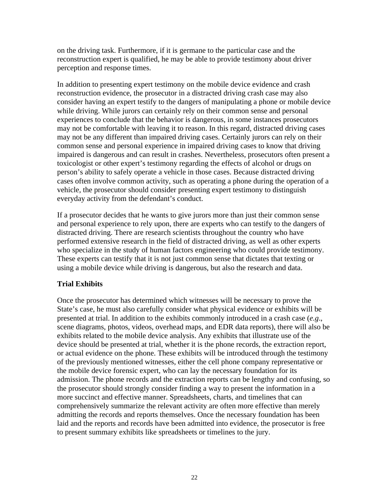on the driving task. Furthermore, if it is germane to the particular case and the reconstruction expert is qualified, he may be able to provide testimony about driver perception and response times.

In addition to presenting expert testimony on the mobile device evidence and crash reconstruction evidence, the prosecutor in a distracted driving crash case may also consider having an expert testify to the dangers of manipulating a phone or mobile device while driving. While jurors can certainly rely on their common sense and personal experiences to conclude that the behavior is dangerous, in some instances prosecutors may not be comfortable with leaving it to reason. In this regard, distracted driving cases may not be any different than impaired driving cases. Certainly jurors can rely on their common sense and personal experience in impaired driving cases to know that driving impaired is dangerous and can result in crashes. Nevertheless, prosecutors often present a toxicologist or other expert's testimony regarding the effects of alcohol or drugs on person's ability to safely operate a vehicle in those cases. Because distracted driving cases often involve common activity, such as operating a phone during the operation of a vehicle, the prosecutor should consider presenting expert testimony to distinguish everyday activity from the defendant's conduct.

If a prosecutor decides that he wants to give jurors more than just their common sense and personal experience to rely upon, there are experts who can testify to the dangers of distracted driving. There are research scientists throughout the country who have performed extensive research in the field of distracted driving, as well as other experts who specialize in the study of human factors engineering who could provide testimony. These experts can testify that it is not just common sense that dictates that texting or using a mobile device while driving is dangerous, but also the research and data.

## **Trial Exhibits**

Once the prosecutor has determined which witnesses will be necessary to prove the State's case, he must also carefully consider what physical evidence or exhibits will be presented at trial. In addition to the exhibits commonly introduced in a crash case (*e.g*., scene diagrams, photos, videos, overhead maps, and EDR data reports), there will also be exhibits related to the mobile device analysis. Any exhibits that illustrate use of the device should be presented at trial, whether it is the phone records, the extraction report, or actual evidence on the phone. These exhibits will be introduced through the testimony of the previously mentioned witnesses, either the cell phone company representative or the mobile device forensic expert, who can lay the necessary foundation for its admission. The phone records and the extraction reports can be lengthy and confusing, so the prosecutor should strongly consider finding a way to present the information in a more succinct and effective manner. Spreadsheets, charts, and timelines that can comprehensively summarize the relevant activity are often more effective than merely admitting the records and reports themselves. Once the necessary foundation has been laid and the reports and records have been admitted into evidence, the prosecutor is free to present summary exhibits like spreadsheets or timelines to the jury.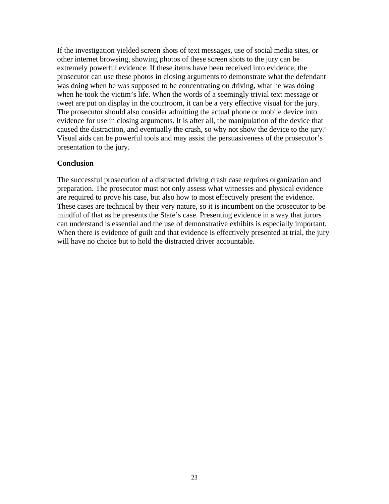If the investigation yielded screen shots of text messages, use of social media sites, or other internet browsing, showing photos of these screen shots to the jury can be extremely powerful evidence. If these items have been received into evidence, the prosecutor can use these photos in closing arguments to demonstrate what the defendant was doing when he was supposed to be concentrating on driving, what he was doing when he took the victim's life. When the words of a seemingly trivial text message or tweet are put on display in the courtroom, it can be a very effective visual for the jury. The prosecutor should also consider admitting the actual phone or mobile device into evidence for use in closing arguments. It is after all, the manipulation of the device that caused the distraction, and eventually the crash, so why not show the device to the jury? Visual aids can be powerful tools and may assist the persuasiveness of the prosecutor's presentation to the jury.

#### **Conclusion**

The successful prosecution of a distracted driving crash case requires organization and preparation. The prosecutor must not only assess what witnesses and physical evidence are required to prove his case, but also how to most effectively present the evidence. These cases are technical by their very nature, so it is incumbent on the prosecutor to be mindful of that as he presents the State's case. Presenting evidence in a way that jurors can understand is essential and the use of demonstrative exhibits is especially important. When there is evidence of guilt and that evidence is effectively presented at trial, the jury will have no choice but to hold the distracted driver accountable.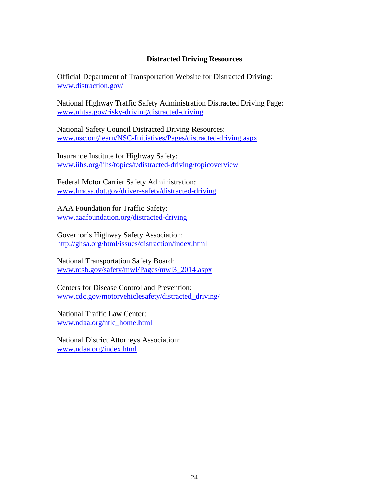#### **Distracted Driving Resources**

<span id="page-28-0"></span>Official Department of Transportation Website for Distracted Driving: [www.distraction.gov/](http://www.distraction.gov/) 

National Highway Traffic Safety Administration Distracted Driving Page: [www.nhtsa.gov/risky-driving/distracted-driving](https://www.nhtsa.gov/risky-driving/distracted-driving)

National Safety Council Distracted Driving Resources: [www.nsc.org/learn/NSC-Initiatives/Pages/distracted-driving.aspx](http://www.nsc.org/learn/NSC-Initiatives/Pages/distracted-driving.aspx) 

Insurance Institute for Highway Safety: [www.iihs.org/iihs/topics/t/distracted-driving/topicoverview](http://www.iihs.org/iihs/topics/t/distracted-driving/topicoverview) 

Federal Motor Carrier Safety Administration: [www.fmcsa.dot.gov/driver-safety/distracted-driving](http://www.fmcsa.dot.gov/driver-safety/distracted-driving) 

AAA Foundation for Traffic Safety: [www.aaafoundation.org/distracted-driving](https://www.aaafoundation.org/distracted-driving) 

Governor's Highway Safety Association: <http://ghsa.org/html/issues/distraction/index.html>

National Transportation Safety Board: [www.ntsb.gov/safety/mwl/Pages/mwl3\\_2014.aspx](http://www.ntsb.gov/safety/mwl/Pages/mwl3_2014.aspx)

Centers for Disease Control and Prevention: [www.cdc.gov/motorvehiclesafety/distracted\\_driving/](http://www.cdc.gov/motorvehiclesafety/distracted_driving/)

National Traffic Law Center: [www.ndaa.org/ntlc\\_home.html](http://www.ndaa.org/ntlc_home.html)

National District Attorneys Association: [www.ndaa.org/index.html](http://www.ndaa.org/index.html)